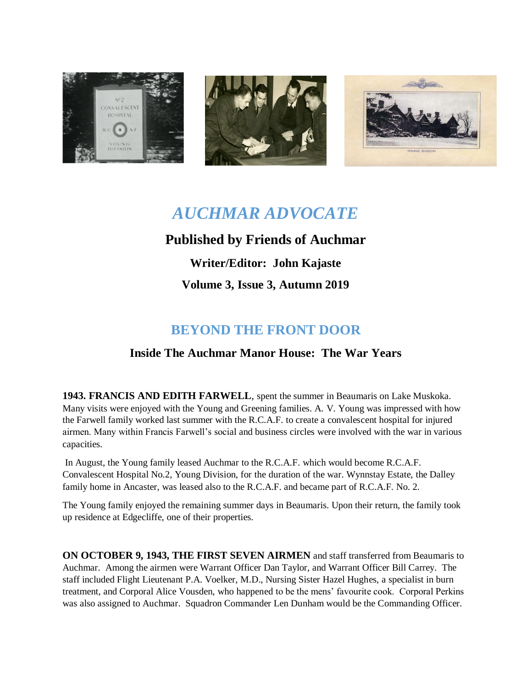





# *AUCHMAR ADVOCATE*

### **Published by Friends of Auchmar**

**Writer/Editor: John Kajaste Volume 3, Issue 3, Autumn 2019**

## **BEYOND THE FRONT DOOR**

### **Inside The Auchmar Manor House: The War Years**

**1943. FRANCIS AND EDITH FARWELL**, spent the summer in Beaumaris on Lake Muskoka. Many visits were enjoyed with the Young and Greening families. A. V. Young was impressed with how the Farwell family worked last summer with the R.C.A.F. to create a convalescent hospital for injured airmen. Many within Francis Farwell's social and business circles were involved with the war in various capacities.

In August, the Young family leased Auchmar to the R.C.A.F. which would become R.C.A.F. Convalescent Hospital No.2, Young Division, for the duration of the war. Wynnstay Estate, the Dalley family home in Ancaster, was leased also to the R.C.A.F. and became part of R.C.A.F. No. 2.

The Young family enjoyed the remaining summer days in Beaumaris. Upon their return, the family took up residence at Edgecliffe, one of their properties.

**ON OCTOBER 9, 1943, THE FIRST SEVEN AIRMEN** and staff transferred from Beaumaris to Auchmar. Among the airmen were Warrant Officer Dan Taylor, and Warrant Officer Bill Carrey. The staff included Flight Lieutenant P.A. Voelker, M.D., Nursing Sister Hazel Hughes, a specialist in burn treatment, and Corporal Alice Vousden, who happened to be the mens' favourite cook. Corporal Perkins was also assigned to Auchmar. Squadron Commander Len Dunham would be the Commanding Officer.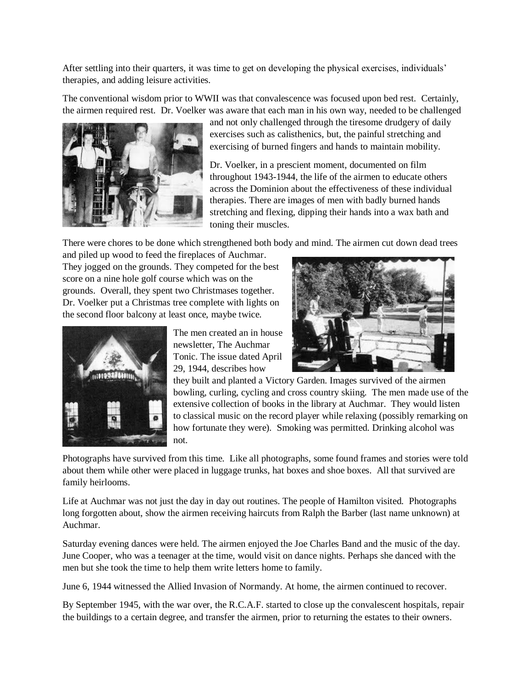After settling into their quarters, it was time to get on developing the physical exercises, individuals' therapies, and adding leisure activities.

The conventional wisdom prior to WWII was that convalescence was focused upon bed rest. Certainly, the airmen required rest. Dr. Voelker was aware that each man in his own way, needed to be challenged



and not only challenged through the tiresome drudgery of daily exercises such as calisthenics, but, the painful stretching and exercising of burned fingers and hands to maintain mobility.

Dr. Voelker, in a prescient moment, documented on film throughout 1943-1944, the life of the airmen to educate others across the Dominion about the effectiveness of these individual therapies. There are images of men with badly burned hands stretching and flexing, dipping their hands into a wax bath and toning their muscles.

There were chores to be done which strengthened both body and mind. The airmen cut down dead trees

and piled up wood to feed the fireplaces of Auchmar. They jogged on the grounds. They competed for the best score on a nine hole golf course which was on the grounds. Overall, they spent two Christmases together. Dr. Voelker put a Christmas tree complete with lights on the second floor balcony at least once, maybe twice.



The men created an in house newsletter, The Auchmar Tonic. The issue dated April 29, 1944, describes how



they built and planted a Victory Garden. Images survived of the airmen bowling, curling, cycling and cross country skiing. The men made use of the extensive collection of books in the library at Auchmar. They would listen to classical music on the record player while relaxing (possibly remarking on how fortunate they were). Smoking was permitted. Drinking alcohol was not.

Photographs have survived from this time. Like all photographs, some found frames and stories were told about them while other were placed in luggage trunks, hat boxes and shoe boxes. All that survived are family heirlooms.

Life at Auchmar was not just the day in day out routines. The people of Hamilton visited. Photographs long forgotten about, show the airmen receiving haircuts from Ralph the Barber (last name unknown) at Auchmar.

Saturday evening dances were held. The airmen enjoyed the Joe Charles Band and the music of the day. June Cooper, who was a teenager at the time, would visit on dance nights. Perhaps she danced with the men but she took the time to help them write letters home to family.

June 6, 1944 witnessed the Allied Invasion of Normandy. At home, the airmen continued to recover.

By September 1945, with the war over, the R.C.A.F. started to close up the convalescent hospitals, repair the buildings to a certain degree, and transfer the airmen, prior to returning the estates to their owners.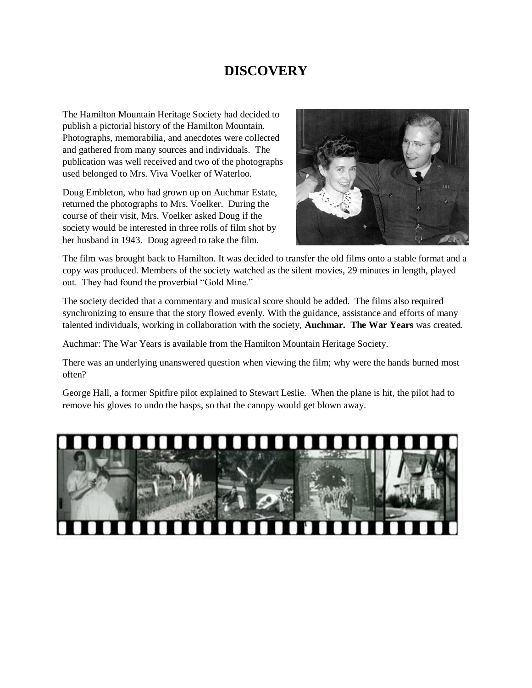### **DISCOVERY**

The Hamilton Mountain Heritage Society had decided to publish a pictorial history of the Hamilton Mountain. Photographs, memorabilia, and anecdotes were collected and gathered from many sources and individuals. The publication was well received and two of the photographs used belonged to Mrs. Viva Voelker of Waterloo.

Doug Embleton, who had grown up on Auchmar Estate, returned the photographs to Mrs. Voelker. During the course of their visit, Mrs. Voelker asked Doug if the society would be interested in three rolls of film shot by her husband in 1943. Doug agreed to take the film.



The film was brought back to Hamilton. It was decided to transfer the old films onto a stable format and a copy was produced. Members of the society watched as the silent movies, 29 minutes in length, played out. They had found the proverbial "Gold Mine."

The society decided that a commentary and musical score should be added. The films also required synchronizing to ensure that the story flowed evenly. With the guidance, assistance and efforts of many talented individuals, working in collaboration with the society, **Auchmar. The War Years** was created.

Auchmar: The War Years is available from the Hamilton Mountain Heritage Society.

There was an underlying unanswered question when viewing the film; why were the hands burned most often?

George Hall, a former Spitfire pilot explained to Stewart Leslie. When the plane is hit, the pilot had to remove his gloves to undo the hasps, so that the canopy would get blown away.

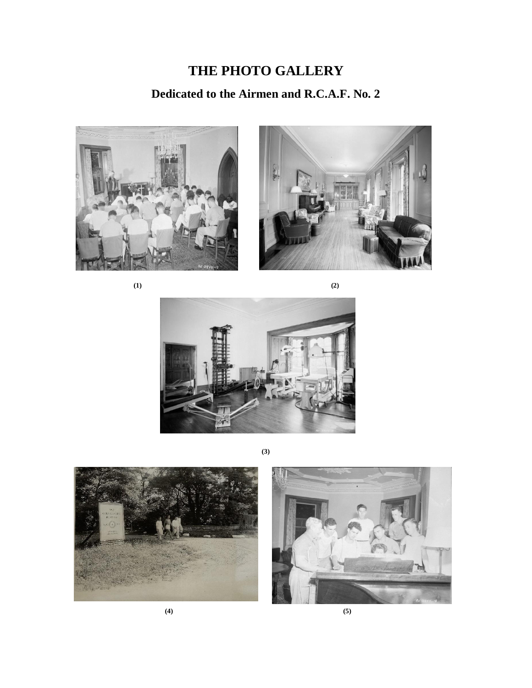# **THE PHOTO GALLERY Dedicated to the Airmen and R.C.A.F. No. 2**





**(1) (2)**



**(3)**





 **(4) (5)**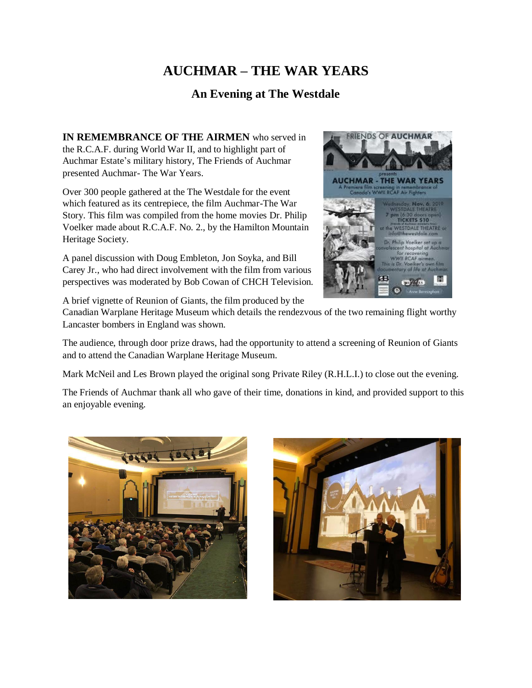### **AUCHMAR – THE WAR YEARS**

#### **An Evening at The Westdale**

**IN REMEMBRANCE OF THE AIRMEN** who served in the R.C.A.F. during World War II, and to highlight part of Auchmar Estate's military history, The Friends of Auchmar presented Auchmar- The War Years.

Over 300 people gathered at the The Westdale for the event which featured as its centrepiece, the film Auchmar-The War Story. This film was compiled from the home movies Dr. Philip Voelker made about R.C.A.F. No. 2., by the Hamilton Mountain Heritage Society.

A panel discussion with Doug Embleton, Jon Soyka, and Bill Carey Jr., who had direct involvement with the film from various perspectives was moderated by Bob Cowan of CHCH Television.

A brief vignette of Reunion of Giants, the film produced by the



The audience, through door prize draws, had the opportunity to attend a screening of Reunion of Giants and to attend the Canadian Warplane Heritage Museum.

Mark McNeil and Les Brown played the original song Private Riley (R.H.L.I.) to close out the evening.

The Friends of Auchmar thank all who gave of their time, donations in kind, and provided support to this an enjoyable evening.